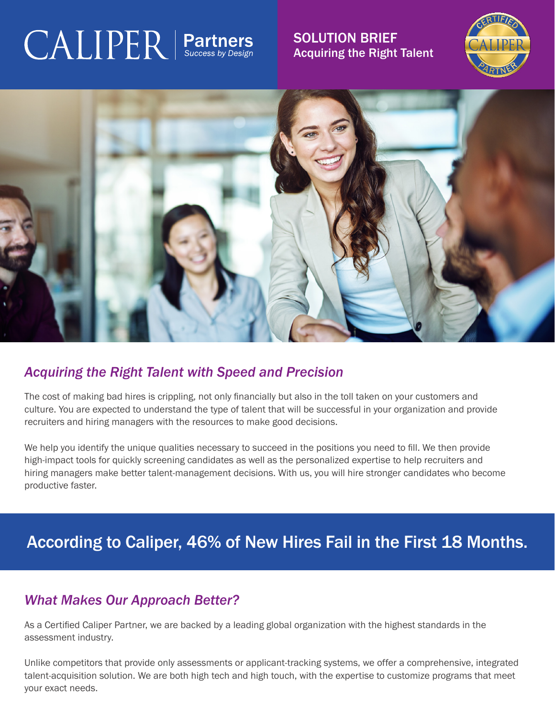## $\text{CALIPER}$  | Partners

SOLUTION BRIEF Acquiring the Right Talent





### *Acquiring the Right Talent with Speed and Precision*

The cost of making bad hires is crippling, not only financially but also in the toll taken on your customers and culture. You are expected to understand the type of talent that will be successful in your organization and provide recruiters and hiring managers with the resources to make good decisions.

We help you identify the unique qualities necessary to succeed in the positions you need to fill. We then provide high-impact tools for quickly screening candidates as well as the personalized expertise to help recruiters and hiring managers make better talent-management decisions. With us, you will hire stronger candidates who become productive faster.

## According to Caliper, 46% of New Hires Fail in the First 18 Months.

## *What Makes Our Approach Better?*

As a Certified Caliper Partner, we are backed by a leading global organization with the highest standards in the assessment industry.

Unlike competitors that provide only assessments or applicant-tracking systems, we offer a comprehensive, integrated talent-acquisition solution. We are both high tech and high touch, with the expertise to customize programs that meet your exact needs.